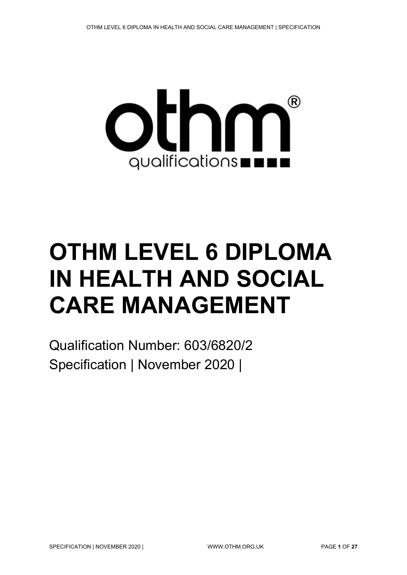

# **OTHM LEVEL 6 DIPLOMA IN HEALTH AND SOCIAL CARE MANAGEMENT**

Qualification Number: 603/6820/2 Specification | November 2020 |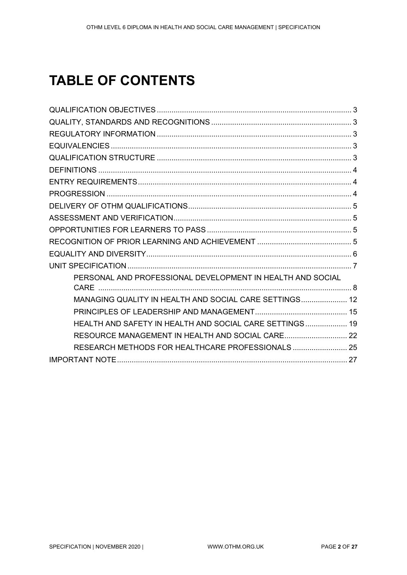# **TABLE OF CONTENTS**

| PERSONAL AND PROFESSIONAL DEVELOPMENT IN HEALTH AND SOCIAL |  |
|------------------------------------------------------------|--|
|                                                            |  |
| MANAGING QUALITY IN HEALTH AND SOCIAL CARE SETTINGS 12     |  |
|                                                            |  |
| HEALTH AND SAFETY IN HEALTH AND SOCIAL CARE SETTINGS 19    |  |
| RESOURCE MANAGEMENT IN HEALTH AND SOCIAL CARE 22           |  |
| RESEARCH METHODS FOR HEALTHCARE PROFESSIONALS  25          |  |
|                                                            |  |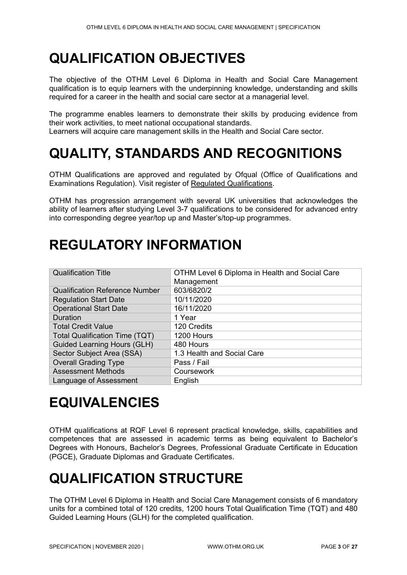# <span id="page-2-0"></span>**QUALIFICATION OBJECTIVES**

The objective of the OTHM Level 6 Diploma in Health and Social Care Management qualification is to equip learners with the underpinning knowledge, understanding and skills required for a career in the health and social care sector at a managerial level.

The programme enables learners to demonstrate their skills by producing evidence from their work activities, to meet national occupational standards.

Learners will acquire care management skills in the Health and Social Care sector.

# <span id="page-2-1"></span>**QUALITY, STANDARDS AND RECOGNITIONS**

OTHM Qualifications are approved and regulated by Ofqual (Office of Qualifications and Examinations Regulation). Visit register of [Regulated Qualifications.](http://register.ofqual.gov.uk/)

OTHM has progression arrangement with several UK universities that acknowledges the ability of learners after studying Level 3-7 qualifications to be considered for advanced entry into corresponding degree year/top up and Master's/top-up programmes.

# <span id="page-2-2"></span>**REGULATORY INFORMATION**

| <b>Qualification Title</b>            | OTHM Level 6 Diploma in Health and Social Care<br>Management |
|---------------------------------------|--------------------------------------------------------------|
| <b>Qualification Reference Number</b> | 603/6820/2                                                   |
| <b>Regulation Start Date</b>          | 10/11/2020                                                   |
| <b>Operational Start Date</b>         | 16/11/2020                                                   |
| <b>Duration</b>                       | 1 Year                                                       |
| <b>Total Credit Value</b>             | 120 Credits                                                  |
| <b>Total Qualification Time (TQT)</b> | 1200 Hours                                                   |
| <b>Guided Learning Hours (GLH)</b>    | 480 Hours                                                    |
| Sector Subject Area (SSA)             | 1.3 Health and Social Care                                   |
| <b>Overall Grading Type</b>           | Pass / Fail                                                  |
| <b>Assessment Methods</b>             | Coursework                                                   |
| Language of Assessment                | English                                                      |

# <span id="page-2-3"></span>**EQUIVALENCIES**

OTHM qualifications at RQF Level 6 represent practical knowledge, skills, capabilities and competences that are assessed in academic terms as being equivalent to Bachelor's Degrees with Honours, Bachelor's Degrees, Professional Graduate Certificate in Education (PGCE), Graduate Diplomas and Graduate Certificates.

# <span id="page-2-4"></span>**QUALIFICATION STRUCTURE**

The OTHM Level 6 Diploma in Health and Social Care Management consists of 6 mandatory units for a combined total of 120 credits, 1200 hours Total Qualification Time (TQT) and 480 Guided Learning Hours (GLH) for the completed qualification.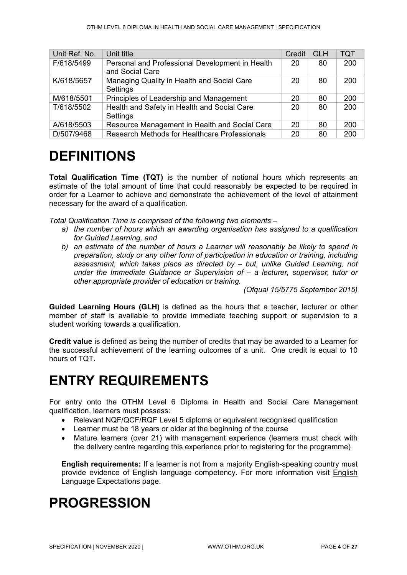| Unit Ref. No. | Unit title                                                         | Credit | <b>GLH</b> | <b>TQT</b> |
|---------------|--------------------------------------------------------------------|--------|------------|------------|
| F/618/5499    | Personal and Professional Development in Health<br>and Social Care | 20     | 80         | 200        |
| K/618/5657    | Managing Quality in Health and Social Care<br>Settings             | 20     | 80         | 200        |
| M/618/5501    | Principles of Leadership and Management                            | 20     | 80         | 200        |
| T/618/5502    | Health and Safety in Health and Social Care<br>Settings            | 20     | 80         | 200        |
| A/618/5503    | Resource Management in Health and Social Care                      | 20     | 80         | 200        |
| D/507/9468    | Research Methods for Healthcare Professionals                      | 20     | 80         | 200        |

# <span id="page-3-0"></span>**DEFINITIONS**

**Total Qualification Time (TQT)** is the number of notional hours which represents an estimate of the total amount of time that could reasonably be expected to be required in order for a Learner to achieve and demonstrate the achievement of the level of attainment necessary for the award of a qualification.

*Total Qualification Time is comprised of the following two elements –*

- *a) the number of hours which an awarding organisation has assigned to a qualification for Guided Learning, and*
- *b) an estimate of the number of hours a Learner will reasonably be likely to spend in preparation, study or any other form of participation in education or training, including assessment, which takes place as directed by – but, unlike Guided Learning, not under the Immediate Guidance or Supervision of – a lecturer, supervisor, tutor or other appropriate provider of education or training.*

*(Ofqual 15/5775 September 2015)*

**Guided Learning Hours (GLH)** is defined as the hours that a teacher, lecturer or other member of staff is available to provide immediate teaching support or supervision to a student working towards a qualification.

**Credit value** is defined as being the number of credits that may be awarded to a Learner for the successful achievement of the learning outcomes of a unit. One credit is equal to 10 hours of TQT.

# <span id="page-3-1"></span>**ENTRY REQUIREMENTS**

For entry onto the OTHM Level 6 Diploma in Health and Social Care Management qualification, learners must possess:

- Relevant NQF/QCF/RQF Level 5 diploma or equivalent recognised qualification
- Learner must be 18 years or older at the beginning of the course
- Mature learners (over 21) with management experience (learners must check with the delivery centre regarding this experience prior to registering for the programme)

**English requirements:** If a learner is not from a majority English-speaking country must provide evidence of English language competency. For more information visit [English](http://othm.org.uk/english-language.html)  [Language Expectations](http://othm.org.uk/english-language.html) page.

# <span id="page-3-2"></span>**PROGRESSION**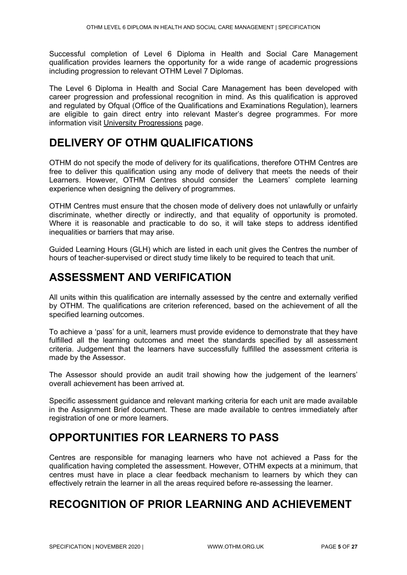Successful completion of Level 6 Diploma in Health and Social Care Management qualification provides learners the opportunity for a wide range of academic progressions including progression to relevant OTHM Level 7 Diplomas.

The Level 6 Diploma in Health and Social Care Management has been developed with career progression and professional recognition in mind. As this qualification is approved and regulated by Ofqual (Office of the Qualifications and Examinations Regulation), learners are eligible to gain direct entry into relevant Master's degree programmes. For more information visit [University Progressions](http://othm.org.uk/university-progression.html) page.

### <span id="page-4-0"></span>**DELIVERY OF OTHM QUALIFICATIONS**

OTHM do not specify the mode of delivery for its qualifications, therefore OTHM Centres are free to deliver this qualification using any mode of delivery that meets the needs of their Learners. However, OTHM Centres should consider the Learners' complete learning experience when designing the delivery of programmes.

OTHM Centres must ensure that the chosen mode of delivery does not unlawfully or unfairly discriminate, whether directly or indirectly, and that equality of opportunity is promoted. Where it is reasonable and practicable to do so, it will take steps to address identified inequalities or barriers that may arise.

Guided Learning Hours (GLH) which are listed in each unit gives the Centres the number of hours of teacher-supervised or direct study time likely to be required to teach that unit.

### <span id="page-4-1"></span>**ASSESSMENT AND VERIFICATION**

All units within this qualification are internally assessed by the centre and externally verified by OTHM. The qualifications are criterion referenced, based on the achievement of all the specified learning outcomes.

To achieve a 'pass' for a unit, learners must provide evidence to demonstrate that they have fulfilled all the learning outcomes and meet the standards specified by all assessment criteria. Judgement that the learners have successfully fulfilled the assessment criteria is made by the Assessor.

The Assessor should provide an audit trail showing how the judgement of the learners' overall achievement has been arrived at.

Specific assessment guidance and relevant marking criteria for each unit are made available in the Assignment Brief document. These are made available to centres immediately after registration of one or more learners.

### <span id="page-4-2"></span>**OPPORTUNITIES FOR LEARNERS TO PASS**

Centres are responsible for managing learners who have not achieved a Pass for the qualification having completed the assessment. However, OTHM expects at a minimum, that centres must have in place a clear feedback mechanism to learners by which they can effectively retrain the learner in all the areas required before re-assessing the learner.

### <span id="page-4-3"></span>**RECOGNITION OF PRIOR LEARNING AND ACHIEVEMENT**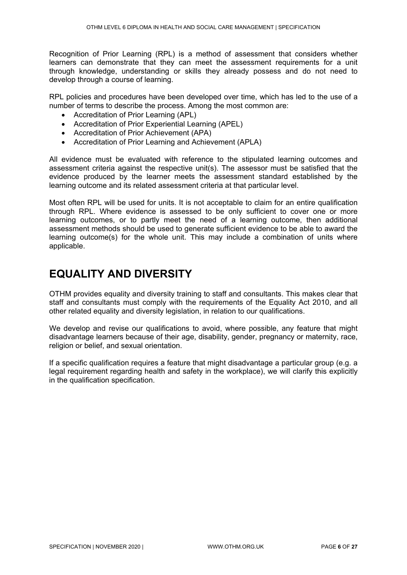Recognition of Prior Learning (RPL) is a method of assessment that considers whether learners can demonstrate that they can meet the assessment requirements for a unit through knowledge, understanding or skills they already possess and do not need to develop through a course of learning.

RPL policies and procedures have been developed over time, which has led to the use of a number of terms to describe the process. Among the most common are:

- Accreditation of Prior Learning (APL)
- Accreditation of Prior Experiential Learning (APEL)
- Accreditation of Prior Achievement (APA)
- Accreditation of Prior Learning and Achievement (APLA)

All evidence must be evaluated with reference to the stipulated learning outcomes and assessment criteria against the respective unit(s). The assessor must be satisfied that the evidence produced by the learner meets the assessment standard established by the learning outcome and its related assessment criteria at that particular level.

Most often RPL will be used for units. It is not acceptable to claim for an entire qualification through RPL. Where evidence is assessed to be only sufficient to cover one or more learning outcomes, or to partly meet the need of a learning outcome, then additional assessment methods should be used to generate sufficient evidence to be able to award the learning outcome(s) for the whole unit. This may include a combination of units where applicable.

### <span id="page-5-0"></span>**EQUALITY AND DIVERSITY**

OTHM provides equality and diversity training to staff and consultants. This makes clear that staff and consultants must comply with the requirements of the Equality Act 2010, and all other related equality and diversity legislation, in relation to our qualifications.

We develop and revise our qualifications to avoid, where possible, any feature that might disadvantage learners because of their age, disability, gender, pregnancy or maternity, race, religion or belief, and sexual orientation.

If a specific qualification requires a feature that might disadvantage a particular group (e.g. a legal requirement regarding health and safety in the workplace), we will clarify this explicitly in the qualification specification.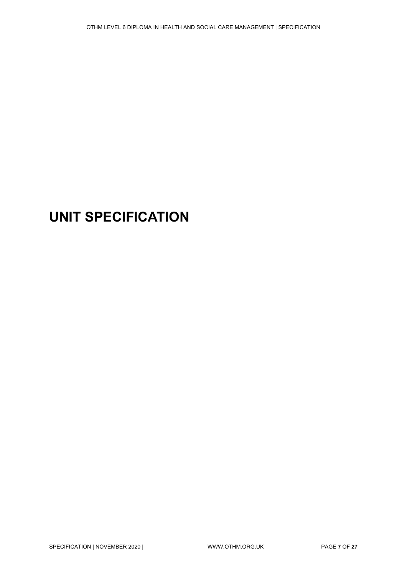# <span id="page-6-0"></span>**UNIT SPECIFICATION**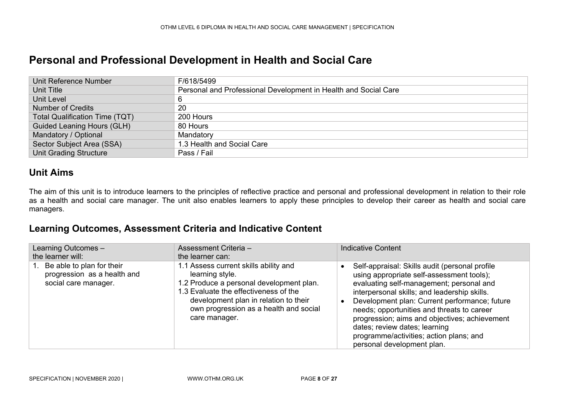### **Personal and Professional Development in Health and Social Care**

| Unit Reference Number             | F/618/5499                                                      |
|-----------------------------------|-----------------------------------------------------------------|
| Unit Title                        | Personal and Professional Development in Health and Social Care |
| Unit Level                        | 6                                                               |
| <b>Number of Credits</b>          | -20                                                             |
| Total Qualification Time (TQT)    | 200 Hours                                                       |
| <b>Guided Leaning Hours (GLH)</b> | 80 Hours                                                        |
| Mandatory / Optional              | Mandatory                                                       |
| Sector Subject Area (SSA)         | 1.3 Health and Social Care                                      |
| <b>Unit Grading Structure</b>     | Pass / Fail                                                     |

#### **Unit Aims**

The aim of this unit is to introduce learners to the principles of reflective practice and personal and professional development in relation to their role as a health and social care manager. The unit also enables learners to apply these principles to develop their career as health and social care managers.

<span id="page-7-0"></span>

| Learning Outcomes -<br>the learner will:                                         | Assessment Criteria -<br>the learner can:                                                                                                                                                                                                         | <b>Indicative Content</b>                                                                                                                                                                                                                                                                                                                                                                                                                         |
|----------------------------------------------------------------------------------|---------------------------------------------------------------------------------------------------------------------------------------------------------------------------------------------------------------------------------------------------|---------------------------------------------------------------------------------------------------------------------------------------------------------------------------------------------------------------------------------------------------------------------------------------------------------------------------------------------------------------------------------------------------------------------------------------------------|
| Be able to plan for their<br>progression as a health and<br>social care manager. | 1.1 Assess current skills ability and<br>learning style.<br>1.2 Produce a personal development plan.<br>1.3 Evaluate the effectiveness of the<br>development plan in relation to their<br>own progression as a health and social<br>care manager. | Self-appraisal: Skills audit (personal profile<br>using appropriate self-assessment tools);<br>evaluating self-management; personal and<br>interpersonal skills; and leadership skills.<br>Development plan: Current performance; future<br>needs; opportunities and threats to career<br>progression; aims and objectives; achievement<br>dates; review dates; learning<br>programme/activities; action plans; and<br>personal development plan. |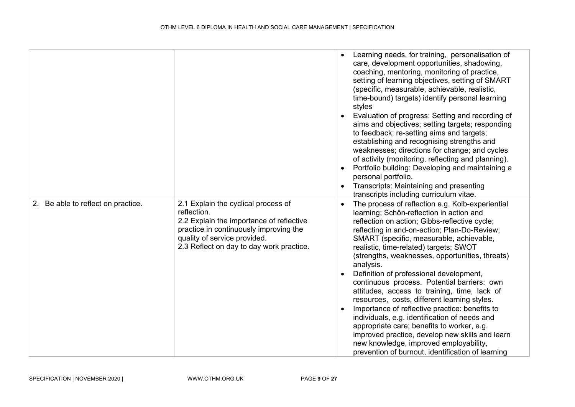|                                    |                                                                                                                                                                                                                      | Learning needs, for training, personalisation of<br>care, development opportunities, shadowing,<br>coaching, mentoring, monitoring of practice,<br>setting of learning objectives, setting of SMART<br>(specific, measurable, achievable, realistic,<br>time-bound) targets) identify personal learning<br>styles<br>Evaluation of progress: Setting and recording of<br>aims and objectives; setting targets; responding<br>to feedback; re-setting aims and targets;<br>establishing and recognising strengths and<br>weaknesses; directions for change; and cycles<br>of activity (monitoring, reflecting and planning).<br>Portfolio building: Developing and maintaining a<br>personal portfolio.<br>Transcripts: Maintaining and presenting<br>transcripts including curriculum vitae.                                                                  |
|------------------------------------|----------------------------------------------------------------------------------------------------------------------------------------------------------------------------------------------------------------------|---------------------------------------------------------------------------------------------------------------------------------------------------------------------------------------------------------------------------------------------------------------------------------------------------------------------------------------------------------------------------------------------------------------------------------------------------------------------------------------------------------------------------------------------------------------------------------------------------------------------------------------------------------------------------------------------------------------------------------------------------------------------------------------------------------------------------------------------------------------|
| 2. Be able to reflect on practice. | 2.1 Explain the cyclical process of<br>reflection.<br>2.2 Explain the importance of reflective<br>practice in continuously improving the<br>quality of service provided.<br>2.3 Reflect on day to day work practice. | The process of reflection e.g. Kolb-experiential<br>$\bullet$<br>learning; Schön-reflection in action and<br>reflection on action; Gibbs-reflective cycle;<br>reflecting in and-on-action; Plan-Do-Review;<br>SMART (specific, measurable, achievable,<br>realistic, time-related) targets; SWOT<br>(strengths, weaknesses, opportunities, threats)<br>analysis.<br>Definition of professional development,<br>continuous process. Potential barriers: own<br>attitudes, access to training, time, lack of<br>resources, costs, different learning styles.<br>Importance of reflective practice: benefits to<br>individuals, e.g. identification of needs and<br>appropriate care; benefits to worker, e.g.<br>improved practice, develop new skills and learn<br>new knowledge, improved employability,<br>prevention of burnout, identification of learning |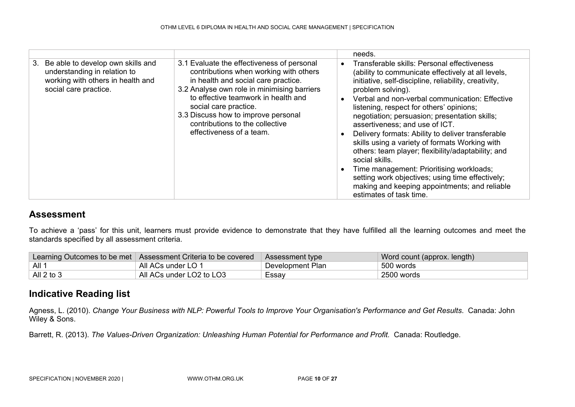|                                                                                                                                       |                                                                                                                                                                                                                                                                                                                                                  | needs.                                                                                                                                                                                                                                                                                                                                                                                                                                                                                                                                                                                                                                                                                                                      |
|---------------------------------------------------------------------------------------------------------------------------------------|--------------------------------------------------------------------------------------------------------------------------------------------------------------------------------------------------------------------------------------------------------------------------------------------------------------------------------------------------|-----------------------------------------------------------------------------------------------------------------------------------------------------------------------------------------------------------------------------------------------------------------------------------------------------------------------------------------------------------------------------------------------------------------------------------------------------------------------------------------------------------------------------------------------------------------------------------------------------------------------------------------------------------------------------------------------------------------------------|
| Be able to develop own skills and<br>3.<br>understanding in relation to<br>working with others in health and<br>social care practice. | 3.1 Evaluate the effectiveness of personal<br>contributions when working with others<br>in health and social care practice.<br>3.2 Analyse own role in minimising barriers<br>to effective teamwork in health and<br>social care practice.<br>3.3 Discuss how to improve personal<br>contributions to the collective<br>effectiveness of a team. | Transferable skills: Personal effectiveness<br>(ability to communicate effectively at all levels,<br>initiative, self-discipline, reliability, creativity,<br>problem solving).<br>Verbal and non-verbal communication: Effective<br>listening, respect for others' opinions;<br>negotiation; persuasion; presentation skills;<br>assertiveness; and use of ICT.<br>Delivery formats: Ability to deliver transferable<br>skills using a variety of formats Working with<br>others: team player; flexibility/adaptability; and<br>social skills.<br>Time management: Prioritising workloads;<br>setting work objectives; using time effectively;<br>making and keeping appointments; and reliable<br>estimates of task time. |

To achieve a 'pass' for this unit, learners must provide evidence to demonstrate that they have fulfilled all the learning outcomes and meet the standards specified by all assessment criteria.

|                  | Learning Outcomes to be met   Assessment Criteria to be covered | Assessment type  | Word count (approx. length) |
|------------------|-----------------------------------------------------------------|------------------|-----------------------------|
| AII <sup>1</sup> | All ACs under LO 1                                              | Development Plan | 500 words                   |
| All $2$ to $3$   | All ACs under LO2 to LO3                                        | Essav            | 2500 words                  |

#### **Indicative Reading list**

Agness, L. (2010). *Change Your Business with NLP: Powerful Tools to Improve Your Organisation's Performance and Get Results*. Canada: John Wiley & Sons.

Barrett, R. (2013). *The Values-Driven Organization: Unleashing Human Potential for Performance and Profit.* Canada: Routledge.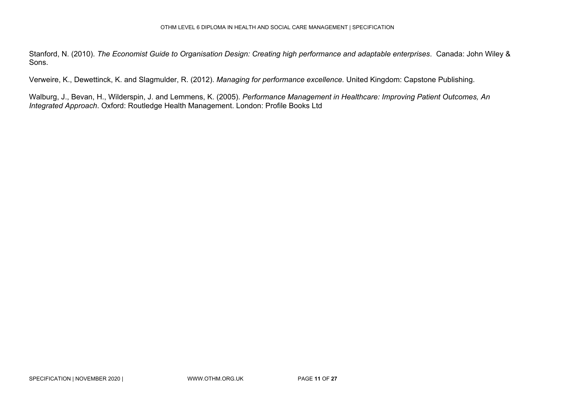Stanford, N. (2010). *The Economist Guide to Organisation Design: Creating high performance and adaptable enterprises*. Canada: John Wiley & Sons.

Verweire, K., Dewettinck, K. and Slagmulder, R. (2012). *Managing for performance excellence.* United Kingdom: Capstone Publishing.

Walburg, J., Bevan, H., Wilderspin, J. and Lemmens, K. (2005). *Performance Management in Healthcare: Improving Patient Outcomes, An Integrated Approach*. Oxford: Routledge Health Management. London: Profile Books Ltd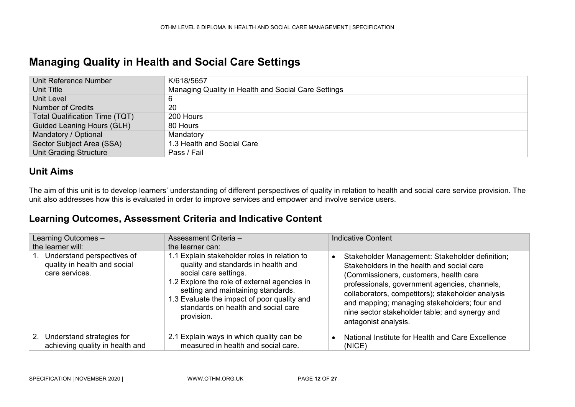### **Managing Quality in Health and Social Care Settings**

| Unit Reference Number                 | K/618/5657                                          |
|---------------------------------------|-----------------------------------------------------|
| Unit Title                            | Managing Quality in Health and Social Care Settings |
| Unit Level                            |                                                     |
| <b>Number of Credits</b>              | 20                                                  |
| <b>Total Qualification Time (TQT)</b> | 200 Hours                                           |
| Guided Leaning Hours (GLH)            | 80 Hours                                            |
| Mandatory / Optional                  | Mandatory                                           |
| Sector Subject Area (SSA)             | 1.3 Health and Social Care                          |
| <b>Unit Grading Structure</b>         | Pass / Fail                                         |

#### **Unit Aims**

The aim of this unit is to develop learners' understanding of different perspectives of quality in relation to health and social care service provision. The unit also addresses how this is evaluated in order to improve services and empower and involve service users.

<span id="page-11-0"></span>

| Learning Outcomes -<br>the learner will:                                     | Assessment Criteria -<br>the learner can:                                                                                                                                                                                                                                                              | <b>Indicative Content</b>                                                                                                                                                                                                                                                                                                                                                            |
|------------------------------------------------------------------------------|--------------------------------------------------------------------------------------------------------------------------------------------------------------------------------------------------------------------------------------------------------------------------------------------------------|--------------------------------------------------------------------------------------------------------------------------------------------------------------------------------------------------------------------------------------------------------------------------------------------------------------------------------------------------------------------------------------|
| Understand perspectives of<br>quality in health and social<br>care services. | 1.1 Explain stakeholder roles in relation to<br>quality and standards in health and<br>social care settings.<br>1.2 Explore the role of external agencies in<br>setting and maintaining standards.<br>1.3 Evaluate the impact of poor quality and<br>standards on health and social care<br>provision. | Stakeholder Management: Stakeholder definition;<br>$\bullet$<br>Stakeholders in the health and social care<br>(Commissioners, customers, health care<br>professionals, government agencies, channels,<br>collaborators, competitors); stakeholder analysis<br>and mapping; managing stakeholders; four and<br>nine sector stakeholder table; and synergy and<br>antagonist analysis. |
| 2. Understand strategies for<br>achieving quality in health and              | 2.1 Explain ways in which quality can be<br>measured in health and social care.                                                                                                                                                                                                                        | National Institute for Health and Care Excellence<br>$\bullet$<br>(NICE)                                                                                                                                                                                                                                                                                                             |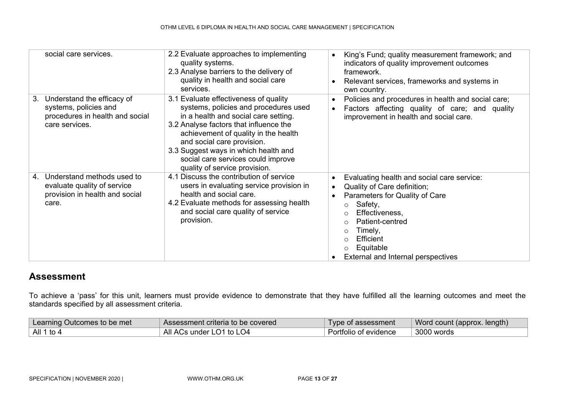| social care services.                                                                                          | 2.2 Evaluate approaches to implementing<br>quality systems.<br>2.3 Analyse barriers to the delivery of<br>quality in health and social care<br>services.                                                                                                                                                                                              | King's Fund; quality measurement framework; and<br>$\bullet$<br>indicators of quality improvement outcomes<br>framework.<br>Relevant services, frameworks and systems in<br>$\bullet$<br>own country.                                                                                                         |
|----------------------------------------------------------------------------------------------------------------|-------------------------------------------------------------------------------------------------------------------------------------------------------------------------------------------------------------------------------------------------------------------------------------------------------------------------------------------------------|---------------------------------------------------------------------------------------------------------------------------------------------------------------------------------------------------------------------------------------------------------------------------------------------------------------|
| Understand the efficacy of<br>3.<br>systems, policies and<br>procedures in health and social<br>care services. | 3.1 Evaluate effectiveness of quality<br>systems, policies and procedures used<br>in a health and social care setting.<br>3.2 Analyse factors that influence the<br>achievement of quality in the health<br>and social care provision.<br>3.3 Suggest ways in which health and<br>social care services could improve<br>quality of service provision. | Policies and procedures in health and social care;<br>$\bullet$<br>Factors affecting quality of care; and quality<br>improvement in health and social care.                                                                                                                                                   |
| Understand methods used to<br>4.<br>evaluate quality of service<br>provision in health and social<br>care.     | 4.1 Discuss the contribution of service<br>users in evaluating service provision in<br>health and social care.<br>4.2 Evaluate methods for assessing health<br>and social care quality of service<br>provision.                                                                                                                                       | Evaluating health and social care service:<br>$\bullet$<br>Quality of Care definition;<br>$\bullet$<br>Parameters for Quality of Care<br>Safety,<br>$\circ$<br>Effectiveness,<br>Patient-centred<br>Timely,<br>$\circ$<br>Efficient<br>$\Omega$<br>Equitable<br>$\circ$<br>External and Internal perspectives |

To achieve a 'pass' for this unit, learners must provide evidence to demonstrate that they have fulfilled all the learning outcomes and meet the standards specified by all assessment criteria.

| Learning Outcomes to be met | Assessment criteria to be covered | Type of assessment    | ◯ Word count (approx. length) |
|-----------------------------|-----------------------------------|-----------------------|-------------------------------|
| All 1 to 4                  | All ACs under LO1 to LO4          | Portfolio of evidence | 3000 words                    |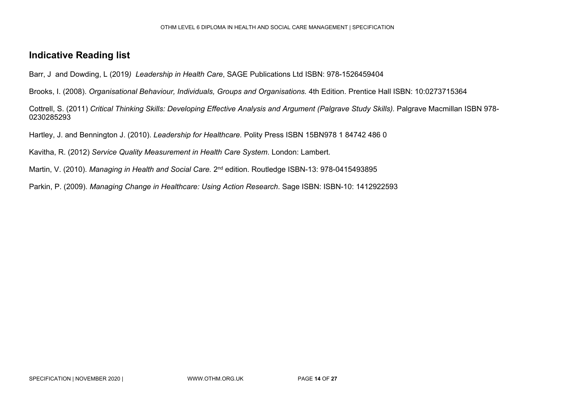#### **Indicative Reading list**

Barr, J and Dowding, L (2019*) Leadership in Health Care*, SAGE Publications Ltd ISBN: 978-1526459404

Brooks, I. (2008). *Organisational Behaviour, Individuals, Groups and Organisations.* 4th Edition. Prentice Hall ISBN: 10:0273715364

Cottrell, S. (2011) *Critical Thinking Skills: Developing Effective Analysis and Argument (Palgrave Study Skills).* Palgrave Macmillan ISBN 978- 0230285293

Hartley, J. and Bennington J. (2010). *Leadership for Healthcare.* Polity Press ISBN 15BN978 1 84742 486 0

Kavitha, R. (2012) *Service Quality Measurement in Health Care System*. London: Lambert.

Martin, V. (2010). *Managing in Health and Social Care.* 2nd edition. Routledge ISBN-13: 978-0415493895

Parkin, P. (2009). *Managing Change in Healthcare: Using Action Research*. Sage ISBN: ISBN-10: 1412922593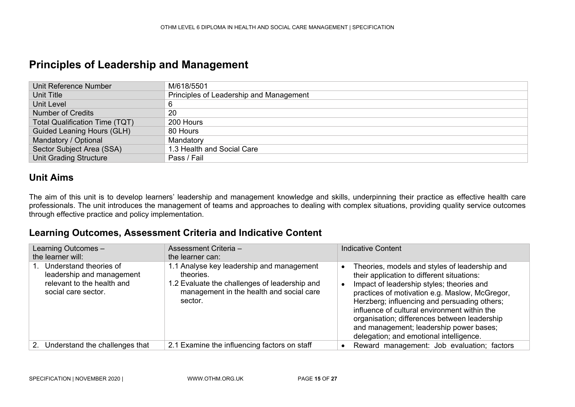### **Principles of Leadership and Management**

| Unit Reference Number                 | M/618/5501                              |
|---------------------------------------|-----------------------------------------|
| Unit Title                            | Principles of Leadership and Management |
| Unit Level                            |                                         |
| <b>Number of Credits</b>              | 20                                      |
| <b>Total Qualification Time (TQT)</b> | 200 Hours                               |
| Guided Leaning Hours (GLH)            | 80 Hours                                |
| Mandatory / Optional                  | Mandatory                               |
| Sector Subject Area (SSA)             | 1.3 Health and Social Care              |
| <b>Unit Grading Structure</b>         | Pass / Fail                             |

#### **Unit Aims**

The aim of this unit is to develop learners' leadership and management knowledge and skills, underpinning their practice as effective health care professionals. The unit introduces the management of teams and approaches to dealing with complex situations, providing quality service outcomes through effective practice and policy implementation.

<span id="page-14-0"></span>

| Learning Outcomes -<br>the learner will:                                                                 | Assessment Criteria -<br>the learner can:                                                                                                                      | <b>Indicative Content</b>                                                                                                                                                                                                                                                                                                                                                                                                        |
|----------------------------------------------------------------------------------------------------------|----------------------------------------------------------------------------------------------------------------------------------------------------------------|----------------------------------------------------------------------------------------------------------------------------------------------------------------------------------------------------------------------------------------------------------------------------------------------------------------------------------------------------------------------------------------------------------------------------------|
| Understand theories of<br>leadership and management<br>relevant to the health and<br>social care sector. | 1.1 Analyse key leadership and management<br>theories.<br>1.2 Evaluate the challenges of leadership and<br>management in the health and social care<br>sector. | Theories, models and styles of leadership and<br>their application to different situations:<br>Impact of leadership styles; theories and<br>practices of motivation e.g. Maslow, McGregor,<br>Herzberg; influencing and persuading others;<br>influence of cultural environment within the<br>organisation; differences between leadership<br>and management; leadership power bases;<br>delegation; and emotional intelligence. |
| 2. Understand the challenges that                                                                        | 2.1 Examine the influencing factors on staff                                                                                                                   | Reward management: Job evaluation; factors                                                                                                                                                                                                                                                                                                                                                                                       |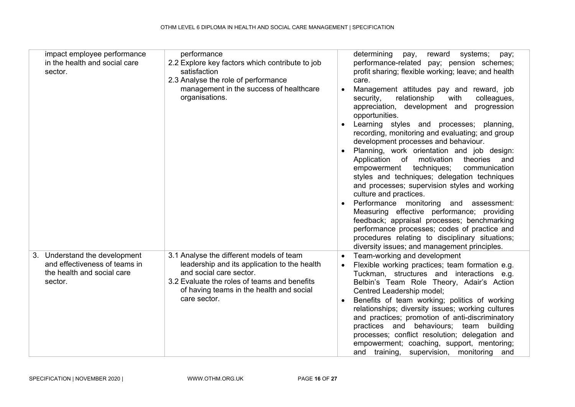| impact employee performance<br>in the health and social care<br>sector.                                 | performance<br>2.2 Explore key factors which contribute to job<br>satisfaction<br>2.3 Analyse the role of performance<br>management in the success of healthcare<br>organisations.                                              | $\bullet$<br>$\bullet$ | determining<br>reward<br>systems;<br>pay,<br>pay;<br>performance-related pay; pension schemes;<br>profit sharing; flexible working; leave; and health<br>care.<br>Management attitudes pay and reward, job<br>relationship<br>security,<br>with<br>colleagues,<br>appreciation, development and<br>progression<br>opportunities.<br>Learning styles and processes; planning,<br>recording, monitoring and evaluating; and group<br>development processes and behaviour.<br>Planning, work orientation and job design:<br>Application of motivation<br>theories<br>and<br>techniques;<br>communication<br>empowerment<br>styles and techniques; delegation techniques<br>and processes; supervision styles and working<br>culture and practices.<br>Performance monitoring and assessment:<br>Measuring effective performance; providing<br>feedback; appraisal processes; benchmarking<br>performance processes; codes of practice and<br>procedures relating to disciplinary situations; |
|---------------------------------------------------------------------------------------------------------|---------------------------------------------------------------------------------------------------------------------------------------------------------------------------------------------------------------------------------|------------------------|-------------------------------------------------------------------------------------------------------------------------------------------------------------------------------------------------------------------------------------------------------------------------------------------------------------------------------------------------------------------------------------------------------------------------------------------------------------------------------------------------------------------------------------------------------------------------------------------------------------------------------------------------------------------------------------------------------------------------------------------------------------------------------------------------------------------------------------------------------------------------------------------------------------------------------------------------------------------------------------------|
| 3. Understand the development<br>and effectiveness of teams in<br>the health and social care<br>sector. | 3.1 Analyse the different models of team<br>leadership and its application to the health<br>and social care sector.<br>3.2 Evaluate the roles of teams and benefits<br>of having teams in the health and social<br>care sector. | $\bullet$<br>$\bullet$ | diversity issues; and management principles.<br>Team-working and development<br>Flexible working practices; team formation e.g.<br>Tuckman, structures and interactions e.g.<br>Belbin's Team Role Theory, Adair's Action<br>Centred Leadership model;<br>Benefits of team working; politics of working<br>relationships; diversity issues; working cultures<br>and practices; promotion of anti-discriminatory<br>practices and behaviours; team<br>building<br>processes; conflict resolution; delegation and<br>empowerment; coaching, support, mentoring;<br>and training, supervision, monitoring and                                                                                                                                                                                                                                                                                                                                                                                |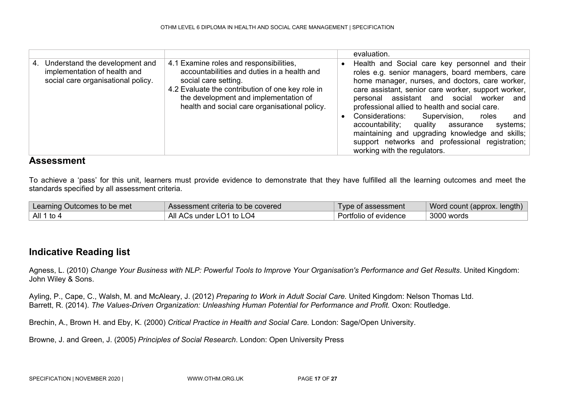|                                                                                                            |                                                                                                                                                                                                                                                              | evaluation.                                                                                                                                                                                                                                                                                                                                                                                                                                                                                                                                               |
|------------------------------------------------------------------------------------------------------------|--------------------------------------------------------------------------------------------------------------------------------------------------------------------------------------------------------------------------------------------------------------|-----------------------------------------------------------------------------------------------------------------------------------------------------------------------------------------------------------------------------------------------------------------------------------------------------------------------------------------------------------------------------------------------------------------------------------------------------------------------------------------------------------------------------------------------------------|
| Understand the development and<br>4.<br>implementation of health and<br>social care organisational policy. | 4.1 Examine roles and responsibilities,<br>accountabilities and duties in a health and<br>social care setting.<br>4.2 Evaluate the contribution of one key role in<br>the development and implementation of<br>health and social care organisational policy. | Health and Social care key personnel and their<br>roles e.g. senior managers, board members, care<br>home manager, nurses, and doctors, care worker,<br>care assistant, senior care worker, support worker,<br>personal assistant and social worker<br>and<br>professional allied to health and social care.<br>Supervision,<br>Considerations:<br>roles<br>and<br>accountability;<br>quality assurance<br>systems;<br>maintaining and upgrading knowledge and skills;<br>support networks and professional registration;<br>working with the regulators. |

To achieve a 'pass' for this unit, learners must provide evidence to demonstrate that they have fulfilled all the learning outcomes and meet the standards specified by all assessment criteria.

| Learning Outcomes to be met | Assessment criteria to be covered | Type of assessment    | Word count (approx. length) |
|-----------------------------|-----------------------------------|-----------------------|-----------------------------|
| All 1 to 4                  | All ACs under LO1 to LO4          | Portfolio of evidence | 3000 words                  |

#### **Indicative Reading list**

Agness, L. (2010) *Change Your Business with NLP: Powerful Tools to Improve Your Organisation's Performance and Get Results*. United Kingdom: John Wiley & Sons.

Ayling, P., Cape, C., Walsh, M. and McAleary, J. (2012) *Preparing to Work in Adult Social Care.* United Kingdom: Nelson Thomas Ltd. Barrett, R. (2014). *The Values-Driven Organization: Unleashing Human Potential for Performance and Profit.* Oxon: Routledge.

Brechin, A., Brown H. and Eby, K. (2000) *Critical Practice in Health and Social Care.* London: Sage/Open University.

Browne, J. and Green, J. (2005) *Principles of Social Research*. London: Open University Press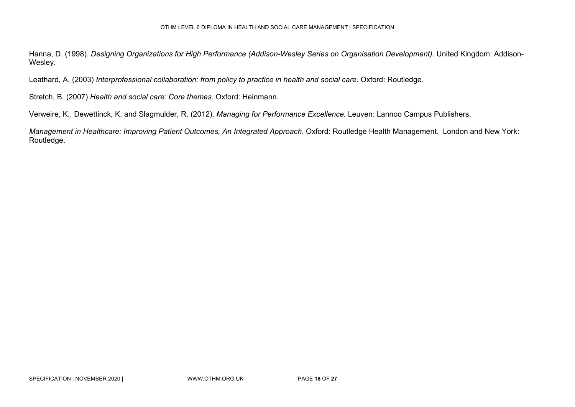Hanna, D. (1998). *Designing Organizations for High Performance (Addison-Wesley Series on Organisation Development)*. United Kingdom: Addison-Wesley.

Leathard, A. (2003) *Interprofessional collaboration: from policy to practice in health and social care.* Oxford: Routledge.

Stretch, B. (2007) *Health and social care: Core themes.* Oxford: Heinmann.

Verweire, K., Dewettinck, K. and Slagmulder, R. (2012). *Managing for Performance Excellence.* Leuven: Lannoo Campus Publishers.

*Management in Healthcare: Improving Patient Outcomes, An Integrated Approach*. Oxford: Routledge Health Management. London and New York: Routledge.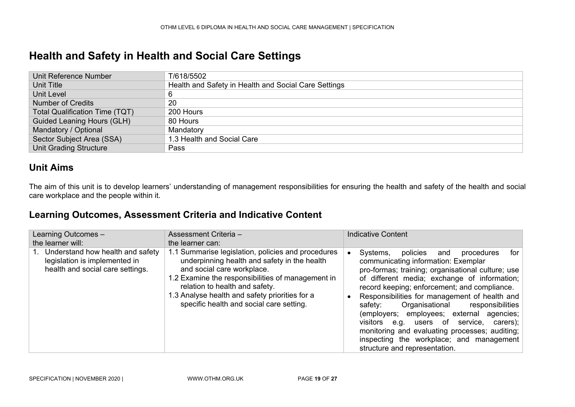### **Health and Safety in Health and Social Care Settings**

| Unit Reference Number                 | T/618/5502                                           |
|---------------------------------------|------------------------------------------------------|
| Unit Title                            | Health and Safety in Health and Social Care Settings |
| <b>Unit Level</b>                     |                                                      |
| <b>Number of Credits</b>              | 20                                                   |
| <b>Total Qualification Time (TQT)</b> | 200 Hours                                            |
| <b>Guided Leaning Hours (GLH)</b>     | 80 Hours                                             |
| Mandatory / Optional                  | Mandatory                                            |
| Sector Subject Area (SSA)             | 1.3 Health and Social Care                           |
| <b>Unit Grading Structure</b>         | Pass                                                 |

#### **Unit Aims**

The aim of this unit is to develop learners' understanding of management responsibilities for ensuring the health and safety of the health and social care workplace and the people within it.

<span id="page-18-0"></span>

| Learning Outcomes -                                                                                      | Assessment Criteria -                                                                                                                                                                                                                                                                                                 | <b>Indicative Content</b>                                                                                                                                                                                                                                                                                                                                                                                                                                                                                                                                                             |
|----------------------------------------------------------------------------------------------------------|-----------------------------------------------------------------------------------------------------------------------------------------------------------------------------------------------------------------------------------------------------------------------------------------------------------------------|---------------------------------------------------------------------------------------------------------------------------------------------------------------------------------------------------------------------------------------------------------------------------------------------------------------------------------------------------------------------------------------------------------------------------------------------------------------------------------------------------------------------------------------------------------------------------------------|
| the learner will:                                                                                        | the learner can:                                                                                                                                                                                                                                                                                                      |                                                                                                                                                                                                                                                                                                                                                                                                                                                                                                                                                                                       |
| 1. Understand how health and safety<br>legislation is implemented in<br>health and social care settings. | 1.1 Summarise legislation, policies and procedures<br>underpinning health and safety in the health<br>and social care workplace.<br>1.2 Examine the responsibilities of management in<br>relation to health and safety.<br>1.3 Analyse health and safety priorities for a<br>specific health and social care setting. | Systems,<br>policies<br>procedures<br>for l<br>and<br>$\bullet$<br>communicating information: Exemplar<br>pro-formas; training; organisational culture; use<br>of different media; exchange of information;<br>record keeping; enforcement; and compliance.<br>Responsibilities for management of health and<br>Organisational<br>responsibilities<br>safety:<br>(employers; employees; external agencies;<br>visitors e.g. users of service, carers);<br>monitoring and evaluating processes; auditing;<br>inspecting the workplace; and management<br>structure and representation. |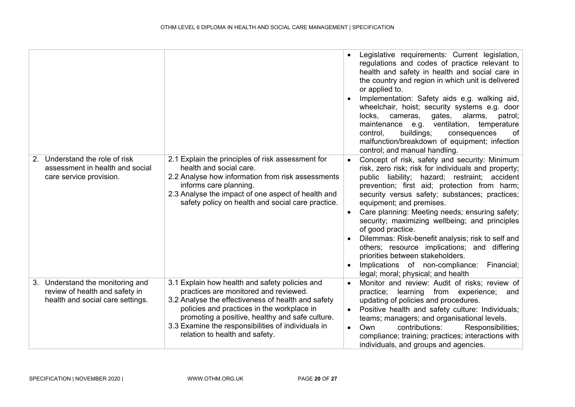|                                                                                                        |                                                                                                                                                                                                                                                                                                                                        | $\bullet$                           | Legislative requirements: Current legislation,<br>regulations and codes of practice relevant to<br>health and safety in health and social care in<br>the country and region in which unit is delivered<br>or applied to.<br>Implementation: Safety aids e.g. walking aid,<br>wheelchair, hoist; security systems e.g. door<br>alarms,<br>locks,<br>cameras,<br>gates,<br>patrol;<br>maintenance e.g. ventilation, temperature<br>buildings;<br>control,<br>of<br>consequences<br>malfunction/breakdown of equipment; infection<br>control; and manual handling.                                                                              |
|--------------------------------------------------------------------------------------------------------|----------------------------------------------------------------------------------------------------------------------------------------------------------------------------------------------------------------------------------------------------------------------------------------------------------------------------------------|-------------------------------------|----------------------------------------------------------------------------------------------------------------------------------------------------------------------------------------------------------------------------------------------------------------------------------------------------------------------------------------------------------------------------------------------------------------------------------------------------------------------------------------------------------------------------------------------------------------------------------------------------------------------------------------------|
| 2. Understand the role of risk<br>assessment in health and social<br>care service provision.           | 2.1 Explain the principles of risk assessment for<br>health and social care.<br>2.2 Analyse how information from risk assessments<br>informs care planning.<br>2.3 Analyse the impact of one aspect of health and<br>safety policy on health and social care practice.                                                                 | $\bullet$                           | Concept of risk, safety and security: Minimum<br>risk, zero risk; risk for individuals and property;<br>public liability; hazard; restraint; accident<br>prevention; first aid; protection from harm;<br>security versus safety; substances; practices;<br>equipment; and premises.<br>Care planning: Meeting needs; ensuring safety;<br>security; maximizing wellbeing; and principles<br>of good practice.<br>Dilemmas: Risk-benefit analysis; risk to self and<br>others; resource implications; and differing<br>priorities between stakeholders.<br>Implications of non-compliance:<br>Financial;<br>legal; moral; physical; and health |
| 3. Understand the monitoring and<br>review of health and safety in<br>health and social care settings. | 3.1 Explain how health and safety policies and<br>practices are monitored and reviewed.<br>3.2 Analyse the effectiveness of health and safety<br>policies and practices in the workplace in<br>promoting a positive, healthy and safe culture.<br>3.3 Examine the responsibilities of individuals in<br>relation to health and safety. | $\bullet$<br>$\bullet$<br>$\bullet$ | Monitor and review: Audit of risks; review of<br>practice;<br>from experience;<br>learning<br>and<br>updating of policies and procedures.<br>Positive health and safety culture: Individuals;<br>teams; managers; and organisational levels.<br>contributions:<br>Own<br>Responsibilities;<br>compliance; training; practices; interactions with<br>individuals, and groups and agencies.                                                                                                                                                                                                                                                    |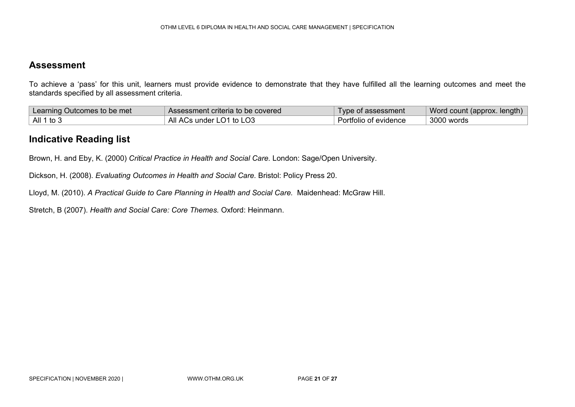To achieve a 'pass' for this unit, learners must provide evidence to demonstrate that they have fulfilled all the learning outcomes and meet the standards specified by all assessment criteria.

| Learning Outcomes to be met | Assessment criteria to be covered | Type of assessment    | Word count (approx. length) |
|-----------------------------|-----------------------------------|-----------------------|-----------------------------|
| All 1 to 3                  | All ACs under LO1 to LO3          | Portfolio of evidence | $\,$ 3000 words             |

#### **Indicative Reading list**

Brown, H. and Eby, K. (2000) *Critical Practice in Health and Social Care.* London: Sage/Open University.

Dickson, H. (2008). *Evaluating Outcomes in Health and Social Care.* Bristol: Policy Press 20.

Lloyd, M. (2010). *A Practical Guide to Care Planning in Health and Social Care.* Maidenhead: McGraw Hill.

Stretch, B (2007). *Health and Social Care: Core Themes.* Oxford: Heinmann.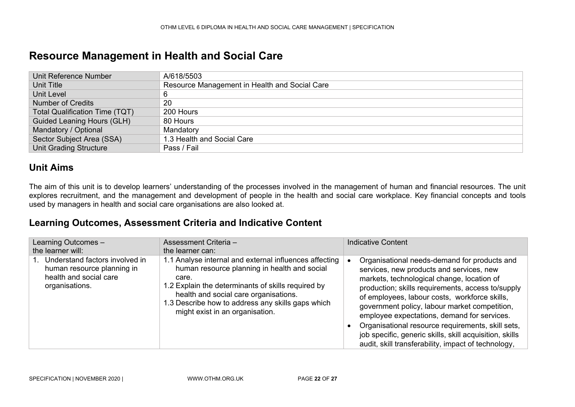### **Resource Management in Health and Social Care**

| Unit Reference Number                 | A/618/5503                                    |
|---------------------------------------|-----------------------------------------------|
| Unit Title                            | Resource Management in Health and Social Care |
| Unit Level                            | 6                                             |
| <b>Number of Credits</b>              | 20                                            |
| <b>Total Qualification Time (TQT)</b> | 200 Hours                                     |
| <b>Guided Leaning Hours (GLH)</b>     | 80 Hours                                      |
| Mandatory / Optional                  | Mandatory                                     |
| Sector Subject Area (SSA)             | 1.3 Health and Social Care                    |
| <b>Unit Grading Structure</b>         | Pass / Fail                                   |

#### **Unit Aims**

The aim of this unit is to develop learners' understanding of the processes involved in the management of human and financial resources. The unit explores recruitment, and the management and development of people in the health and social care workplace. Key financial concepts and tools used by managers in health and social care organisations are also looked at.

<span id="page-21-0"></span>

| Learning Outcomes -<br>the learner will:                                                                 | Assessment Criteria -<br>the learner can:                                                                                                                                                                                                                                                              | <b>Indicative Content</b>                                                                                                                                                                                                                                                                                                                                                                                                                                                                                           |
|----------------------------------------------------------------------------------------------------------|--------------------------------------------------------------------------------------------------------------------------------------------------------------------------------------------------------------------------------------------------------------------------------------------------------|---------------------------------------------------------------------------------------------------------------------------------------------------------------------------------------------------------------------------------------------------------------------------------------------------------------------------------------------------------------------------------------------------------------------------------------------------------------------------------------------------------------------|
| Understand factors involved in<br>human resource planning in<br>health and social care<br>organisations. | 1.1 Analyse internal and external influences affecting<br>human resource planning in health and social<br>care.<br>1.2 Explain the determinants of skills required by<br>health and social care organisations.<br>1.3 Describe how to address any skills gaps which<br>might exist in an organisation. | Organisational needs-demand for products and<br>services, new products and services, new<br>markets, technological change, location of<br>production; skills requirements, access to/supply<br>of employees, labour costs, workforce skills,<br>government policy, labour market competition,<br>employee expectations, demand for services.<br>Organisational resource requirements, skill sets,<br>job specific, generic skills, skill acquisition, skills<br>audit, skill transferability, impact of technology, |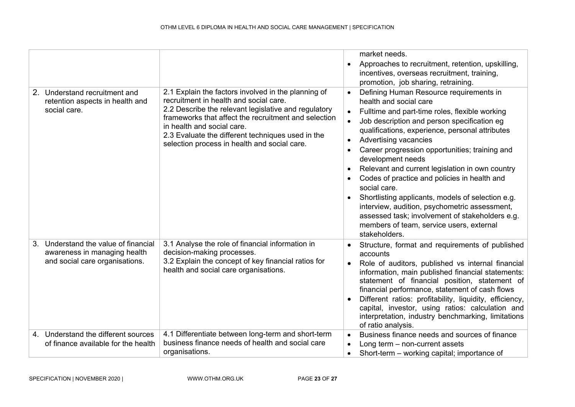|                                                                                                           |                                                                                                                                                                                                                                                                                                                                                  | market needs.<br>Approaches to recruitment, retention, upskilling,<br>$\bullet$<br>incentives, overseas recruitment, training,<br>promotion, job sharing, retraining.                                                                                                                                                                                                                                                                                                                                                                                                                                                                                                                                 |
|-----------------------------------------------------------------------------------------------------------|--------------------------------------------------------------------------------------------------------------------------------------------------------------------------------------------------------------------------------------------------------------------------------------------------------------------------------------------------|-------------------------------------------------------------------------------------------------------------------------------------------------------------------------------------------------------------------------------------------------------------------------------------------------------------------------------------------------------------------------------------------------------------------------------------------------------------------------------------------------------------------------------------------------------------------------------------------------------------------------------------------------------------------------------------------------------|
| 2. Understand recruitment and<br>retention aspects in health and<br>social care.                          | 2.1 Explain the factors involved in the planning of<br>recruitment in health and social care.<br>2.2 Describe the relevant legislative and regulatory<br>frameworks that affect the recruitment and selection<br>in health and social care.<br>2.3 Evaluate the different techniques used in the<br>selection process in health and social care. | Defining Human Resource requirements in<br>$\bullet$<br>health and social care<br>Fulltime and part-time roles, flexible working<br>$\bullet$<br>Job description and person specification eg<br>$\bullet$<br>qualifications, experience, personal attributes<br>Advertising vacancies<br>Career progression opportunities; training and<br>development needs<br>Relevant and current legislation in own country<br>Codes of practice and policies in health and<br>social care.<br>Shortlisting applicants, models of selection e.g.<br>interview, audition, psychometric assessment,<br>assessed task; involvement of stakeholders e.g.<br>members of team, service users, external<br>stakeholders. |
| Understand the value of financial<br>3.<br>awareness in managing health<br>and social care organisations. | 3.1 Analyse the role of financial information in<br>decision-making processes.<br>3.2 Explain the concept of key financial ratios for<br>health and social care organisations.                                                                                                                                                                   | Structure, format and requirements of published<br>$\bullet$<br>accounts<br>Role of auditors, published vs internal financial<br>information, main published financial statements:<br>statement of financial position, statement of<br>financial performance, statement of cash flows<br>Different ratios: profitability, liquidity, efficiency,<br>capital, investor, using ratios: calculation and<br>interpretation, industry benchmarking, limitations<br>of ratio analysis.                                                                                                                                                                                                                      |
| 4. Understand the different sources<br>of finance available for the health                                | 4.1 Differentiate between long-term and short-term<br>business finance needs of health and social care<br>organisations.                                                                                                                                                                                                                         | Business finance needs and sources of finance<br>$\bullet$<br>Long term $-$ non-current assets<br>Short-term – working capital; importance of<br>$\bullet$                                                                                                                                                                                                                                                                                                                                                                                                                                                                                                                                            |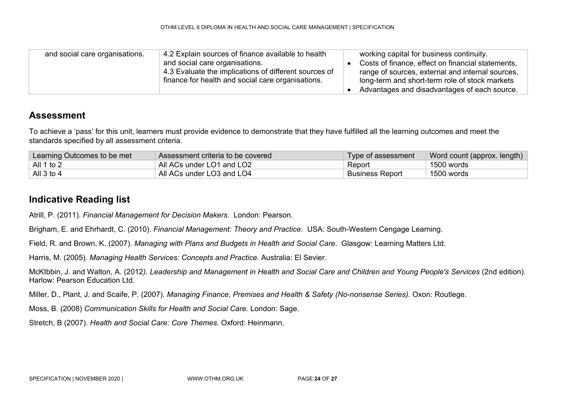| and social care organisations. | 4.2 Explain sources of finance available to health<br>and social care organisations.<br>4.3 Evaluate the implications of different sources of<br>finance for health and social care organisations. |  | working capital for business continuity.<br>Costs of finance, effect on financial statements,<br>range of sources, external and internal sources,<br>long-term and short-term role of stock markets<br>Advantages and disadvantages of each source. |
|--------------------------------|----------------------------------------------------------------------------------------------------------------------------------------------------------------------------------------------------|--|-----------------------------------------------------------------------------------------------------------------------------------------------------------------------------------------------------------------------------------------------------|
|--------------------------------|----------------------------------------------------------------------------------------------------------------------------------------------------------------------------------------------------|--|-----------------------------------------------------------------------------------------------------------------------------------------------------------------------------------------------------------------------------------------------------|

To achieve a 'pass' for this unit, learners must provide evidence to demonstrate that they have fulfilled all the learning outcomes and meet the standards specified by all assessment criteria.

| Learning Outcomes to be met | Assessment criteria to be covered | Type of assessment     | Word count (approx. length) |
|-----------------------------|-----------------------------------|------------------------|-----------------------------|
| . All 1 to 2 $\,$           | All ACs under LO1 and LO2         | Report                 | 1500 words                  |
| All $3$ to $4$              | All ACs under LO3 and LO4         | <b>Business Report</b> | 1500 words                  |

#### **Indicative Reading list**

Atrill, P. (2011). *Financial Management for Decision Makers*. London: Pearson.

Brigham, E. and Ehrhardt, C. (2010). *Financial Management: Theory and Practice*. USA: South-Western Cengage Learning.

Field, R. and Brown, K. (2007). *Managing with Plans and Budgets in Health and Social Care*. Glasgow: Learning Matters Ltd.

Harris, M. (2005). *Managing Health Services: Concepts and Practice.* Australia: El Sevier.

McKIbbin, J. and Walton, A. (2012*). Leadership and Management in Health and Social Care and Children and Young People's Services* (2nd edition). Harlow: Pearson Education Ltd.

Miller, D., Plant, J. and Scaife, P. (2007). *Managing Finance, Premises and Health & Safety (No-nonsense Series).* Oxon: Routlege.

Moss, B. (2008) *Communication Skills for Health and Social Care.* London: Sage.

Stretch, B (2007). *Health and Social Care: Core Themes.* Oxford: Heinmann.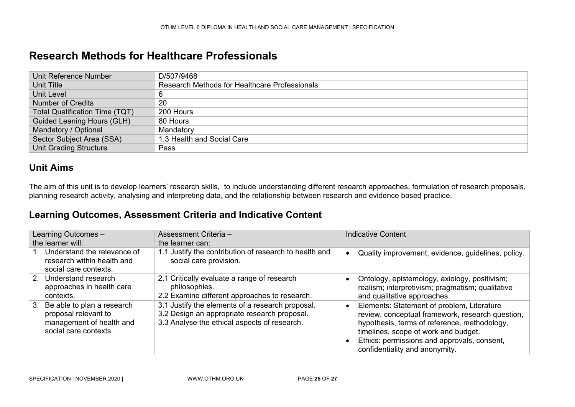### **Research Methods for Healthcare Professionals**

| Unit Reference Number                 | D/507/9468                                    |
|---------------------------------------|-----------------------------------------------|
| Unit Title                            | Research Methods for Healthcare Professionals |
| Unit Level                            | 6                                             |
| <b>Number of Credits</b>              | 20                                            |
| <b>Total Qualification Time (TQT)</b> | 200 Hours                                     |
| Guided Leaning Hours (GLH)            | 80 Hours                                      |
| Mandatory / Optional                  | Mandatory                                     |
| Sector Subject Area (SSA)             | 1.3 Health and Social Care                    |
| <b>Unit Grading Structure</b>         | Pass                                          |

#### **Unit Aims**

The aim of this unit is to develop learners' research skills, to include understanding different research approaches, formulation of research proposals, planning research activity, analysing and interpreting data, and the relationship between research and evidence based practice.

<span id="page-24-0"></span>

| Learning Outcomes -<br>the learner will:                                                                   | Assessment Criteria -<br>the learner can:                                                                                                        | Indicative Content                                                                                                                                                                                                                                                      |
|------------------------------------------------------------------------------------------------------------|--------------------------------------------------------------------------------------------------------------------------------------------------|-------------------------------------------------------------------------------------------------------------------------------------------------------------------------------------------------------------------------------------------------------------------------|
| 1. Understand the relevance of<br>research within health and<br>social care contexts.                      | 1.1 Justify the contribution of research to health and<br>social care provision.                                                                 | Quality improvement, evidence, guidelines, policy.<br>$\bullet$                                                                                                                                                                                                         |
| 2. Understand research<br>approaches in health care<br>contexts.                                           | 2.1 Critically evaluate a range of research<br>philosophies.<br>2.2 Examine different approaches to research.                                    | Ontology, epistemology, axiology, positivism;<br>realism; interpretivism; pragmatism; qualitative<br>and qualitative approaches.                                                                                                                                        |
| 3. Be able to plan a research<br>proposal relevant to<br>management of health and<br>social care contexts. | 3.1 Justify the elements of a research proposal.<br>3.2 Design an appropriate research proposal.<br>3.3 Analyse the ethical aspects of research. | Elements: Statement of problem, Literature<br>review, conceptual framework, research question,<br>hypothesis, terms of reference, methodology,<br>timelines, scope of work and budget.<br>Ethics: permissions and approvals, consent,<br>confidentiality and anonymity. |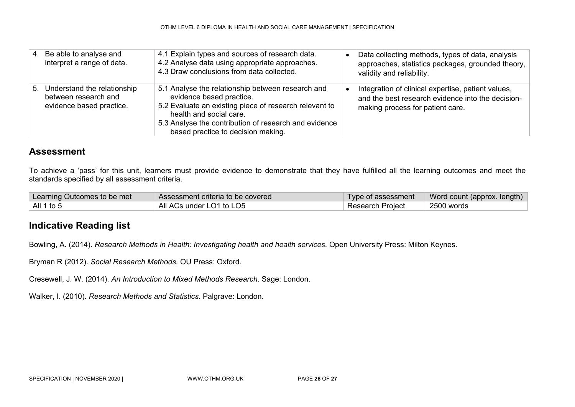| 4. Be able to analyse and<br>interpret a range of data.                            | 4.1 Explain types and sources of research data.<br>4.2 Analyse data using appropriate approaches.<br>4.3 Draw conclusions from data collected.                                                                                                                    | Data collecting methods, types of data, analysis<br>approaches, statistics packages, grounded theory,<br>validity and reliability.          |
|------------------------------------------------------------------------------------|-------------------------------------------------------------------------------------------------------------------------------------------------------------------------------------------------------------------------------------------------------------------|---------------------------------------------------------------------------------------------------------------------------------------------|
| 5. Understand the relationship<br>between research and<br>evidence based practice. | 5.1 Analyse the relationship between research and<br>evidence based practice.<br>5.2 Evaluate an existing piece of research relevant to<br>health and social care.<br>5.3 Analyse the contribution of research and evidence<br>based practice to decision making. | Integration of clinical expertise, patient values,<br>and the best research evidence into the decision-<br>making process for patient care. |

To achieve a 'pass' for this unit, learners must provide evidence to demonstrate that they have fulfilled all the learning outcomes and meet the standards specified by all assessment criteria.

| Learning Outcomes to be met | Assessment criteria to be covered |                         | Type of assessment   Word count (approx. length) |
|-----------------------------|-----------------------------------|-------------------------|--------------------------------------------------|
| $\vert$ All 1 to 5          | All ACs under LO1 to LO5          | <b>Research Project</b> | 2500 words                                       |

#### **Indicative Reading list**

Bowling, A. (2014). *Research Methods in Health: Investigating health and health services.* Open University Press: Milton Keynes.

Bryman R (2012). *Social Research Methods.* OU Press: Oxford.

Cresewell, J. W. (2014). *An Introduction to Mixed Methods Research*. Sage: London.

Walker, I. (2010). *Research Methods and Statistics.* Palgrave: London.